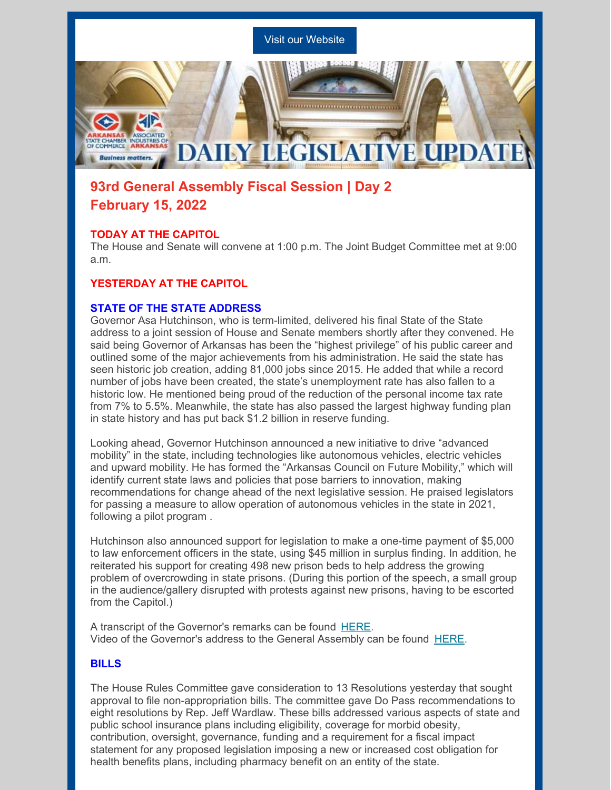

# **93rd General Assembly Fiscal Session | Day 2 February 15, 2022**

## **TODAY AT THE CAPITOL**

The House and Senate will convene at 1:00 p.m. The Joint Budget Committee met at 9:00 a.m.

# **YESTERDAY AT THE CAPITOL**

## **STATE OF THE STATE ADDRESS**

Governor Asa Hutchinson, who is term-limited, delivered his final State of the State address to a joint session of House and Senate members shortly after they convened. He said being Governor of Arkansas has been the "highest privilege" of his public career and outlined some of the major achievements from his administration. He said the state has seen historic job creation, adding 81,000 jobs since 2015. He added that while a record number of jobs have been created, the state's unemployment rate has also fallen to a historic low. He mentioned being proud of the reduction of the personal income tax rate from 7% to 5.5%. Meanwhile, the state has also passed the largest highway funding plan in state history and has put back \$1.2 billion in reserve funding.

Looking ahead, Governor Hutchinson announced a new initiative to drive "advanced mobility" in the state, including technologies like autonomous vehicles, electric vehicles and upward mobility. He has formed the "Arkansas Council on Future Mobility," which will identify current state laws and policies that pose barriers to innovation, making recommendations for change ahead of the next legislative session. He praised legislators for passing a measure to allow operation of autonomous vehicles in the state in 2021, following a pilot program .

Hutchinson also announced support for legislation to make a one-time payment of \$5,000 to law enforcement officers in the state, using \$45 million in surplus finding. In addition, he reiterated his support for creating 498 new prison beds to help address the growing problem of overcrowding in state prisons. (During this portion of the speech, a small group in the audience/gallery disrupted with protests against new prisons, having to be escorted from the Capitol.)

A transcript of the Governor's remarks can be found [HERE.](https://d31hzlhk6di2h5.cloudfront.net/20220214/14/0f/7b/6d/3a993f0f1e840125314fbddb/2022_214_State_of_the_State_address__2_.pdf) Video of the Governor's address to the General Assembly can be found [HERE](https://www.youtube.com/watch?v=1fKcNlPLuUs).

# **BILLS**

The House Rules Committee gave consideration to 13 Resolutions yesterday that sought approval to file non-appropriation bills. The committee gave Do Pass recommendations to eight resolutions by Rep. Jeff Wardlaw. These bills addressed various aspects of state and public school insurance plans including eligibility, coverage for morbid obesity, contribution, oversight, governance, funding and a requirement for a fiscal impact statement for any proposed legislation imposing a new or increased cost obligation for health benefits plans, including pharmacy benefit on an entity of the state.